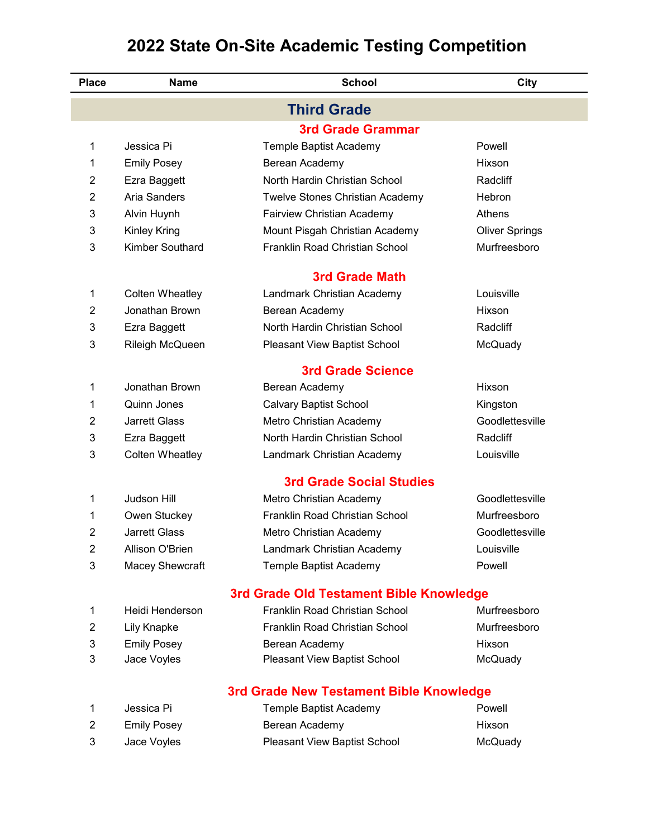| <b>Place</b>   | <b>Name</b>            | <b>School</b>                           | City                  |
|----------------|------------------------|-----------------------------------------|-----------------------|
|                |                        | <b>Third Grade</b>                      |                       |
|                |                        | <b>3rd Grade Grammar</b>                |                       |
| 1              | Jessica Pi             | Temple Baptist Academy                  | Powell                |
| 1              | <b>Emily Posey</b>     | Berean Academy                          | Hixson                |
| 2              | Ezra Baggett           | North Hardin Christian School           | Radcliff              |
| 2              | Aria Sanders           | Twelve Stones Christian Academy         | Hebron                |
| 3              | Alvin Huynh            | Fairview Christian Academy              | Athens                |
| 3              | <b>Kinley Kring</b>    | Mount Pisgah Christian Academy          | <b>Oliver Springs</b> |
| 3              | <b>Kimber Southard</b> | Franklin Road Christian School          | Murfreesboro          |
|                |                        | <b>3rd Grade Math</b>                   |                       |
| 1              | <b>Colten Wheatley</b> | Landmark Christian Academy              | Louisville            |
| 2              | Jonathan Brown         | Berean Academy                          | Hixson                |
| 3              | Ezra Baggett           | North Hardin Christian School           | Radcliff              |
| 3              | Rileigh McQueen        | Pleasant View Baptist School            | McQuady               |
|                |                        | <b>3rd Grade Science</b>                |                       |
| 1              | Jonathan Brown         | Berean Academy                          | Hixson                |
| 1              | Quinn Jones            | <b>Calvary Baptist School</b>           | Kingston              |
| 2              | <b>Jarrett Glass</b>   | Metro Christian Academy                 | Goodlettesville       |
| 3              | Ezra Baggett           | North Hardin Christian School           | Radcliff              |
| 3              | <b>Colten Wheatley</b> | Landmark Christian Academy              | Louisville            |
|                |                        | <b>3rd Grade Social Studies</b>         |                       |
| 1              | <b>Judson Hill</b>     | Metro Christian Academy                 | Goodlettesville       |
| 1              | Owen Stuckey           | Franklin Road Christian School          | Murfreesboro          |
| 2              | <b>Jarrett Glass</b>   | Metro Christian Academy                 | Goodlettesville       |
| 2              | Allison O'Brien        | Landmark Christian Academy              | Louisville            |
| 3              | <b>Macey Shewcraft</b> | Temple Baptist Academy                  | Powell                |
|                |                        | 3rd Grade Old Testament Bible Knowledge |                       |
| 1              | Heidi Henderson        | Franklin Road Christian School          | Murfreesboro          |
| 2              | Lily Knapke            | Franklin Road Christian School          | Murfreesboro          |
| 3              | <b>Emily Posey</b>     | Berean Academy                          | Hixson                |
| 3              | Jace Voyles            | Pleasant View Baptist School            | McQuady               |
|                |                        | 3rd Grade New Testament Bible Knowledge |                       |
| 1              | Jessica Pi             | Temple Baptist Academy                  | Powell                |
| $\overline{c}$ | <b>Emily Posey</b>     | Berean Academy                          | Hixson                |

Jace Voyles Pleasant View Baptist School McQuady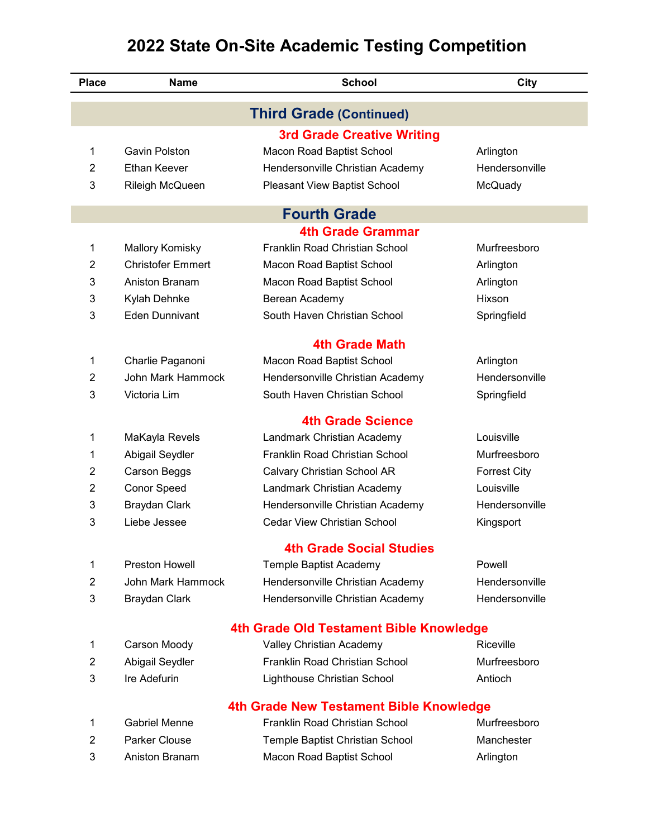| <b>Place</b>   | <b>Name</b>              | <b>School</b>                           | City                |
|----------------|--------------------------|-----------------------------------------|---------------------|
|                |                          | <b>Third Grade (Continued)</b>          |                     |
|                |                          | <b>3rd Grade Creative Writing</b>       |                     |
| 1              | Gavin Polston            | Macon Road Baptist School               | Arlington           |
| $\overline{2}$ | <b>Ethan Keever</b>      | Hendersonville Christian Academy        | Hendersonville      |
| 3              | Rileigh McQueen          | Pleasant View Baptist School            | McQuady             |
|                |                          | <b>Fourth Grade</b>                     |                     |
|                |                          | <b>4th Grade Grammar</b>                |                     |
| 1              | <b>Mallory Komisky</b>   | Franklin Road Christian School          | Murfreesboro        |
| $\overline{2}$ | <b>Christofer Emmert</b> | Macon Road Baptist School               | Arlington           |
| 3              | Aniston Branam           | Macon Road Baptist School               | Arlington           |
| 3              | Kylah Dehnke             | Berean Academy                          | Hixson              |
| 3              | <b>Eden Dunnivant</b>    | South Haven Christian School            | Springfield         |
|                |                          | 4th Grade Math                          |                     |
| 1              | Charlie Paganoni         | Macon Road Baptist School               | Arlington           |
| $\overline{2}$ | John Mark Hammock        | Hendersonville Christian Academy        | Hendersonville      |
| 3              | Victoria Lim             | South Haven Christian School            | Springfield         |
|                |                          | <b>4th Grade Science</b>                |                     |
| 1              | MaKayla Revels           | Landmark Christian Academy              | Louisville          |
| 1              | Abigail Seydler          | Franklin Road Christian School          | Murfreesboro        |
| 2              | Carson Beggs             | Calvary Christian School AR             | <b>Forrest City</b> |
| $\overline{2}$ | <b>Conor Speed</b>       | Landmark Christian Academy              | Louisville          |
| 3              | <b>Braydan Clark</b>     | Hendersonville Christian Academy        | Hendersonville      |
| 3              | Liebe Jessee             | <b>Cedar View Christian School</b>      | Kingsport           |
|                |                          | <b>4th Grade Social Studies</b>         |                     |
| 1              | <b>Preston Howell</b>    | Temple Baptist Academy                  | Powell              |
| $\overline{2}$ | <b>John Mark Hammock</b> | Hendersonville Christian Academy        | Hendersonville      |
| 3              | Braydan Clark            | Hendersonville Christian Academy        | Hendersonville      |
|                |                          | 4th Grade Old Testament Bible Knowledge |                     |
| 1              | Carson Moody             | Valley Christian Academy                | Riceville           |
| $\overline{2}$ | Abigail Seydler          | Franklin Road Christian School          | Murfreesboro        |
| 3              | Ire Adefurin             | Lighthouse Christian School             | Antioch             |
|                |                          | 4th Grade New Testament Bible Knowledge |                     |
| 1              | <b>Gabriel Menne</b>     | Franklin Road Christian School          | Murfreesboro        |
| $\overline{2}$ | Parker Clouse            | Temple Baptist Christian School         | Manchester          |
| 3              | Aniston Branam           | Macon Road Baptist School               | Arlington           |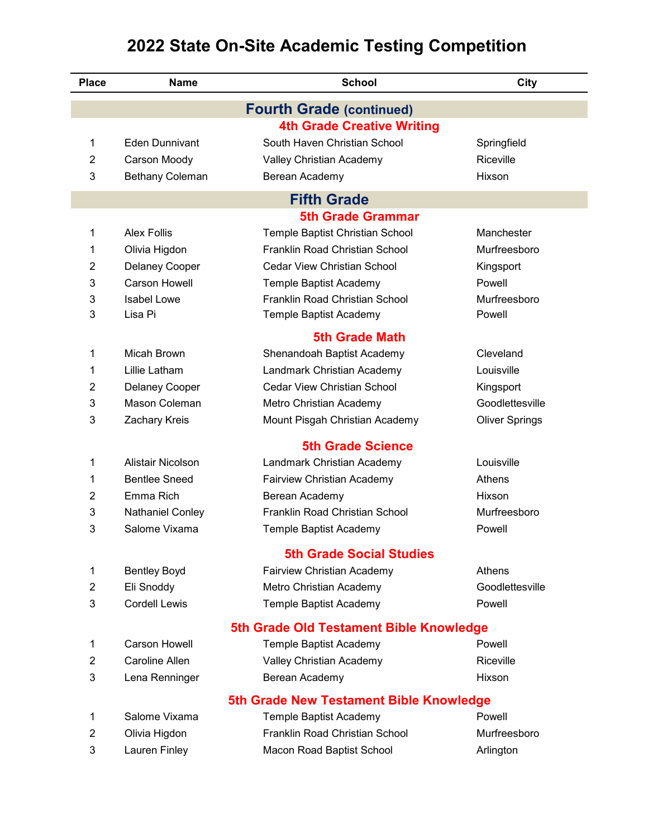| <b>Place</b>   | <b>Name</b>                   | <b>School</b>                                                   | City                   |
|----------------|-------------------------------|-----------------------------------------------------------------|------------------------|
|                |                               | <b>Fourth Grade (continued)</b>                                 |                        |
|                |                               | <b>4th Grade Creative Writing</b>                               |                        |
| 1              | Eden Dunnivant                | South Haven Christian School                                    | Springfield            |
| 2              | Carson Moody                  | Valley Christian Academy                                        | Riceville              |
| 3              | <b>Bethany Coleman</b>        | Berean Academy                                                  | Hixson                 |
|                |                               | <b>Fifth Grade</b>                                              |                        |
|                |                               | <b>5th Grade Grammar</b>                                        |                        |
| 1              | <b>Alex Follis</b>            | Temple Baptist Christian School                                 | Manchester             |
| 1              | Olivia Higdon                 | <b>Franklin Road Christian School</b>                           | Murfreesboro           |
| 2              | <b>Delaney Cooper</b>         | <b>Cedar View Christian School</b>                              | Kingsport              |
| 3              | <b>Carson Howell</b>          | Temple Baptist Academy                                          | Powell                 |
| 3<br>3         | <b>Isabel Lowe</b><br>Lisa Pi | <b>Franklin Road Christian School</b><br>Temple Baptist Academy | Murfreesboro<br>Powell |
|                |                               | <b>5th Grade Math</b>                                           |                        |
| 1              | Micah Brown                   | Shenandoah Baptist Academy                                      | Cleveland              |
| 1              | Lillie Latham                 | Landmark Christian Academy                                      | Louisville             |
| 2              | <b>Delaney Cooper</b>         | <b>Cedar View Christian School</b>                              | Kingsport              |
| 3              | Mason Coleman                 | Metro Christian Academy                                         | Goodlettesville        |
| 3              | Zachary Kreis                 | Mount Pisgah Christian Academy                                  | <b>Oliver Springs</b>  |
|                |                               | <b>5th Grade Science</b>                                        |                        |
| 1              | Alistair Nicolson             | Landmark Christian Academy                                      | Louisville             |
| 1              | <b>Bentlee Sneed</b>          | Fairview Christian Academy                                      | Athens                 |
| 2              | Emma Rich                     | Berean Academy                                                  | Hixson                 |
| 3              | <b>Nathaniel Conley</b>       | Franklin Road Christian School                                  | Murfreesboro           |
| 3              | Salome Vixama                 | Temple Baptist Academy                                          | Powell                 |
|                |                               | <b>5th Grade Social Studies</b>                                 |                        |
| 1              | <b>Bentley Boyd</b>           | Fairview Christian Academy                                      | Athens                 |
| $\overline{2}$ | Eli Snoddy                    | Metro Christian Academy                                         | Goodlettesville        |
| 3              | <b>Cordell Lewis</b>          | Temple Baptist Academy                                          | Powell                 |
|                |                               | 5th Grade Old Testament Bible Knowledge                         |                        |
| 1              | <b>Carson Howell</b>          | Temple Baptist Academy                                          | Powell                 |
| 2              | Caroline Allen                | Valley Christian Academy                                        | Riceville              |
| 3              | Lena Renninger                | Berean Academy                                                  | Hixson                 |
|                |                               | 5th Grade New Testament Bible Knowledge                         |                        |
| 1              | Salome Vixama                 | Temple Baptist Academy                                          | Powell                 |
| 2              | Olivia Higdon                 | Franklin Road Christian School                                  | Murfreesboro           |
| 3              | Lauren Finley                 | Macon Road Baptist School                                       | Arlington              |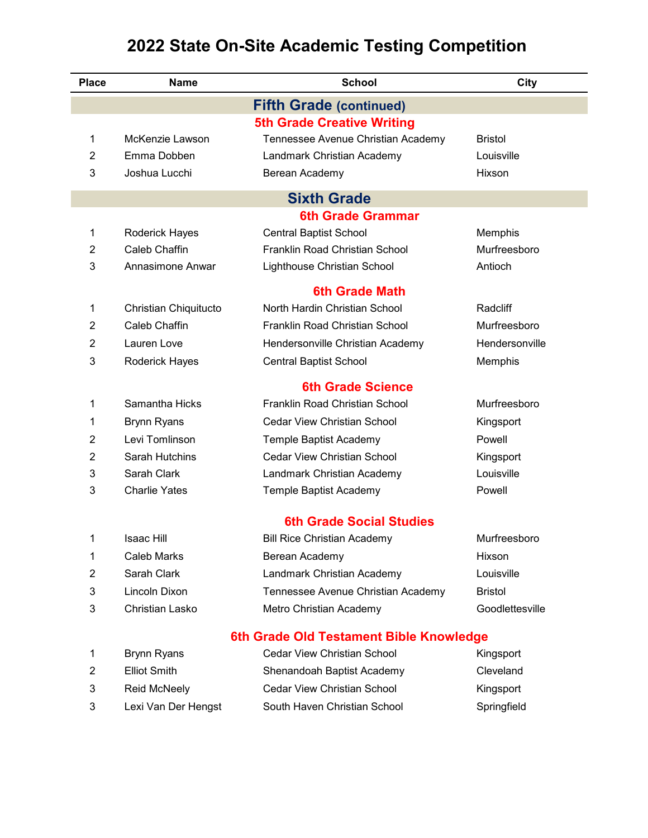| <b>Place</b> | <b>Name</b>           | <b>School</b>                           | City            |
|--------------|-----------------------|-----------------------------------------|-----------------|
|              |                       | <b>Fifth Grade (continued)</b>          |                 |
|              |                       | <b>5th Grade Creative Writing</b>       |                 |
| 1            | McKenzie Lawson       | Tennessee Avenue Christian Academy      | <b>Bristol</b>  |
| 2            | Emma Dobben           | Landmark Christian Academy              | Louisville      |
| 3            | Joshua Lucchi         | Berean Academy                          | Hixson          |
|              |                       | <b>Sixth Grade</b>                      |                 |
|              |                       | <b>6th Grade Grammar</b>                |                 |
| 1            | <b>Roderick Hayes</b> | <b>Central Baptist School</b>           | Memphis         |
| 2            | Caleb Chaffin         | Franklin Road Christian School          | Murfreesboro    |
| 3            | Annasimone Anwar      | Lighthouse Christian School             | Antioch         |
|              |                       | <b>6th Grade Math</b>                   |                 |
| 1            | Christian Chiquitucto | North Hardin Christian School           | Radcliff        |
| 2            | Caleb Chaffin         | Franklin Road Christian School          | Murfreesboro    |
| 2            | Lauren Love           | Hendersonville Christian Academy        | Hendersonville  |
| 3            | Roderick Hayes        | <b>Central Baptist School</b>           | Memphis         |
|              |                       | <b>6th Grade Science</b>                |                 |
| 1            | Samantha Hicks        | Franklin Road Christian School          | Murfreesboro    |
| 1            | <b>Brynn Ryans</b>    | <b>Cedar View Christian School</b>      | Kingsport       |
| 2            | Levi Tomlinson        | Temple Baptist Academy                  | Powell          |
| 2            | Sarah Hutchins        | <b>Cedar View Christian School</b>      | Kingsport       |
| 3            | Sarah Clark           | Landmark Christian Academy              | Louisville      |
| 3            | <b>Charlie Yates</b>  | Temple Baptist Academy                  | Powell          |
|              |                       | <b>6th Grade Social Studies</b>         |                 |
| 1            | <b>Isaac Hill</b>     | <b>Bill Rice Christian Academy</b>      | Murfreesboro    |
| 1            | <b>Caleb Marks</b>    | Berean Academy                          | Hixson          |
| 2            | Sarah Clark           | Landmark Christian Academy              | Louisville      |
| 3            | Lincoln Dixon         | Tennessee Avenue Christian Academy      | <b>Bristol</b>  |
| 3            | Christian Lasko       | Metro Christian Academy                 | Goodlettesville |
|              |                       | 6th Grade Old Testament Bible Knowledge |                 |
| 1            | <b>Brynn Ryans</b>    | <b>Cedar View Christian School</b>      | Kingsport       |
| 2            | <b>Elliot Smith</b>   | Shenandoah Baptist Academy              | Cleveland       |
| 3            | <b>Reid McNeely</b>   | <b>Cedar View Christian School</b>      | Kingsport       |
|              |                       |                                         |                 |

Lexi Van Der Hengst South Haven Christian School Springfield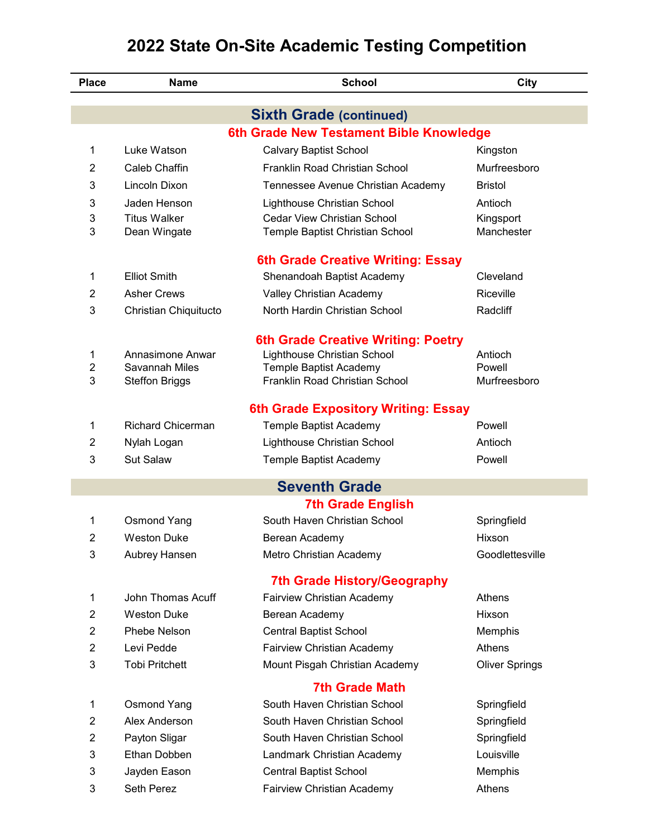| <b>Place</b>   | <b>Name</b>              | <b>School</b>                                                             | City                  |
|----------------|--------------------------|---------------------------------------------------------------------------|-----------------------|
|                |                          |                                                                           |                       |
|                |                          | <b>Sixth Grade (continued)</b><br>6th Grade New Testament Bible Knowledge |                       |
| 1              | Luke Watson              | <b>Calvary Baptist School</b>                                             | Kingston              |
| 2              | Caleb Chaffin            | Franklin Road Christian School                                            | Murfreesboro          |
| 3              | Lincoln Dixon            | Tennessee Avenue Christian Academy                                        | <b>Bristol</b>        |
| 3              | Jaden Henson             | Lighthouse Christian School                                               | Antioch               |
| 3              | <b>Titus Walker</b>      | <b>Cedar View Christian School</b>                                        | Kingsport             |
| 3              | Dean Wingate             | Temple Baptist Christian School                                           | Manchester            |
|                |                          | 6th Grade Creative Writing: Essay                                         |                       |
| 1              | <b>Elliot Smith</b>      | Shenandoah Baptist Academy                                                | Cleveland             |
| 2              | <b>Asher Crews</b>       | Valley Christian Academy                                                  | Riceville             |
| 3              | Christian Chiquitucto    | North Hardin Christian School                                             | Radcliff              |
|                |                          |                                                                           |                       |
| 1              | Annasimone Anwar         | <b>6th Grade Creative Writing: Poetry</b><br>Lighthouse Christian School  | Antioch               |
| 2              | Savannah Miles           | Temple Baptist Academy                                                    | Powell                |
| 3              | <b>Steffon Briggs</b>    | Franklin Road Christian School                                            | Murfreesboro          |
|                |                          | <b>6th Grade Expository Writing: Essay</b>                                |                       |
| 1              | <b>Richard Chicerman</b> | Temple Baptist Academy                                                    | Powell                |
| 2              | Nylah Logan              | Lighthouse Christian School                                               | Antioch               |
| 3              | <b>Sut Salaw</b>         | Temple Baptist Academy                                                    | Powell                |
|                |                          |                                                                           |                       |
|                |                          | <b>Seventh Grade</b>                                                      |                       |
|                |                          | <b>7th Grade English</b>                                                  |                       |
| 1              | <b>Osmond Yang</b>       | South Haven Christian School                                              | Springfield           |
| 2              | <b>Weston Duke</b>       | Berean Academy                                                            | Hixson                |
| 3              | Aubrey Hansen            | Metro Christian Academy                                                   | Goodlettesville       |
|                |                          | <b>7th Grade History/Geography</b>                                        |                       |
| 1              | John Thomas Acuff        | Fairview Christian Academy                                                | Athens                |
| $\overline{2}$ | <b>Weston Duke</b>       | Berean Academy                                                            | Hixson                |
| 2              | Phebe Nelson             | <b>Central Baptist School</b>                                             | Memphis               |
| $\overline{2}$ | Levi Pedde               | Fairview Christian Academy                                                | Athens                |
| 3              | <b>Tobi Pritchett</b>    | Mount Pisgah Christian Academy                                            | <b>Oliver Springs</b> |
|                |                          | <b>7th Grade Math</b>                                                     |                       |
| 1              | <b>Osmond Yang</b>       | South Haven Christian School                                              | Springfield           |
| 2              | Alex Anderson            | South Haven Christian School                                              | Springfield           |
| $\overline{2}$ | Payton Sligar            | South Haven Christian School                                              | Springfield           |
| 3              | Ethan Dobben             | Landmark Christian Academy                                                | Louisville            |
| 3              | Jayden Eason             | <b>Central Baptist School</b>                                             | Memphis               |
| 3              | Seth Perez               | Fairview Christian Academy                                                | Athens                |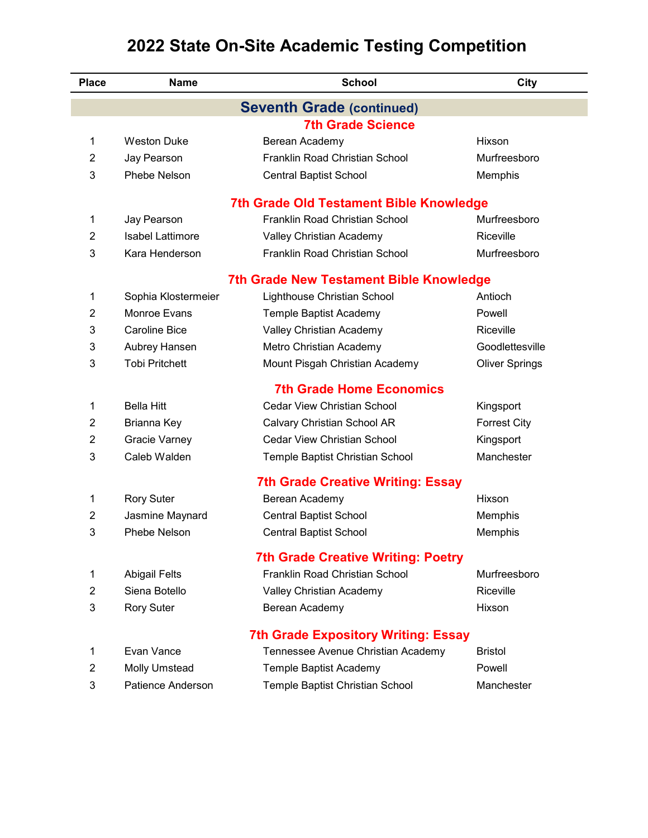| <b>Seventh Grade (continued)</b><br><b>7th Grade Science</b><br><b>Weston Duke</b><br>1<br>Berean Academy<br>Hixson<br>Franklin Road Christian School<br>Murfreesboro<br>$\overline{2}$<br>Jay Pearson<br>3<br>Phebe Nelson<br>Memphis<br><b>Central Baptist School</b><br><b>7th Grade Old Testament Bible Knowledge</b><br>Franklin Road Christian School<br>1<br>Murfreesboro<br>Jay Pearson<br><b>Isabel Lattimore</b><br>Riceville<br>$\overline{2}$<br>Valley Christian Academy<br>3<br>Kara Henderson<br>Franklin Road Christian School<br>Murfreesboro<br><b>7th Grade New Testament Bible Knowledge</b><br>1<br>Sophia Klostermeier<br>Lighthouse Christian School<br>Antioch<br><b>Monroe Evans</b><br>2<br>Temple Baptist Academy<br>Powell<br>Valley Christian Academy<br>Riceville<br>3<br><b>Caroline Bice</b><br>3<br>Goodlettesville<br>Aubrey Hansen<br>Metro Christian Academy<br><b>Tobi Pritchett</b><br>3<br>Mount Pisgah Christian Academy<br><b>Oliver Springs</b><br><b>7th Grade Home Economics</b><br>Cedar View Christian School<br><b>Bella Hitt</b><br>1<br>Kingsport<br>$\overline{2}$<br>Brianna Key<br>Calvary Christian School AR<br><b>Forrest City</b><br><b>Cedar View Christian School</b><br>$\overline{2}$<br><b>Gracie Varney</b><br>Kingsport<br>3<br>Caleb Walden<br>Manchester<br>Temple Baptist Christian School<br><b>7th Grade Creative Writing: Essay</b><br><b>Rory Suter</b><br>1<br>Berean Academy<br>Hixson<br>Jasmine Maynard<br><b>Central Baptist School</b><br>2<br>Memphis<br>3<br>Phebe Nelson<br><b>Central Baptist School</b><br>Memphis<br><b>7th Grade Creative Writing: Poetry</b><br>Franklin Road Christian School<br>Murfreesboro<br><b>Abigail Felts</b><br>1<br>Siena Botello<br>Riceville<br>2<br>Valley Christian Academy<br>3<br><b>Rory Suter</b><br>Berean Academy<br>Hixson<br><b>7th Grade Expository Writing: Essay</b><br>Evan Vance<br>Tennessee Avenue Christian Academy<br><b>Bristol</b><br>1<br>2<br>Powell<br><b>Molly Umstead</b><br>Temple Baptist Academy<br>3<br>Patience Anderson<br>Temple Baptist Christian School<br>Manchester | <b>Place</b> | <b>Name</b> | <b>School</b> | City |
|---------------------------------------------------------------------------------------------------------------------------------------------------------------------------------------------------------------------------------------------------------------------------------------------------------------------------------------------------------------------------------------------------------------------------------------------------------------------------------------------------------------------------------------------------------------------------------------------------------------------------------------------------------------------------------------------------------------------------------------------------------------------------------------------------------------------------------------------------------------------------------------------------------------------------------------------------------------------------------------------------------------------------------------------------------------------------------------------------------------------------------------------------------------------------------------------------------------------------------------------------------------------------------------------------------------------------------------------------------------------------------------------------------------------------------------------------------------------------------------------------------------------------------------------------------------------------------------------------------------------------------------------------------------------------------------------------------------------------------------------------------------------------------------------------------------------------------------------------------------------------------------------------------------------------------------------------------------------------------------------------------------------------------------------------------------------------------------------------------------------------|--------------|-------------|---------------|------|
|                                                                                                                                                                                                                                                                                                                                                                                                                                                                                                                                                                                                                                                                                                                                                                                                                                                                                                                                                                                                                                                                                                                                                                                                                                                                                                                                                                                                                                                                                                                                                                                                                                                                                                                                                                                                                                                                                                                                                                                                                                                                                                                           |              |             |               |      |
|                                                                                                                                                                                                                                                                                                                                                                                                                                                                                                                                                                                                                                                                                                                                                                                                                                                                                                                                                                                                                                                                                                                                                                                                                                                                                                                                                                                                                                                                                                                                                                                                                                                                                                                                                                                                                                                                                                                                                                                                                                                                                                                           |              |             |               |      |
|                                                                                                                                                                                                                                                                                                                                                                                                                                                                                                                                                                                                                                                                                                                                                                                                                                                                                                                                                                                                                                                                                                                                                                                                                                                                                                                                                                                                                                                                                                                                                                                                                                                                                                                                                                                                                                                                                                                                                                                                                                                                                                                           |              |             |               |      |
|                                                                                                                                                                                                                                                                                                                                                                                                                                                                                                                                                                                                                                                                                                                                                                                                                                                                                                                                                                                                                                                                                                                                                                                                                                                                                                                                                                                                                                                                                                                                                                                                                                                                                                                                                                                                                                                                                                                                                                                                                                                                                                                           |              |             |               |      |
|                                                                                                                                                                                                                                                                                                                                                                                                                                                                                                                                                                                                                                                                                                                                                                                                                                                                                                                                                                                                                                                                                                                                                                                                                                                                                                                                                                                                                                                                                                                                                                                                                                                                                                                                                                                                                                                                                                                                                                                                                                                                                                                           |              |             |               |      |
|                                                                                                                                                                                                                                                                                                                                                                                                                                                                                                                                                                                                                                                                                                                                                                                                                                                                                                                                                                                                                                                                                                                                                                                                                                                                                                                                                                                                                                                                                                                                                                                                                                                                                                                                                                                                                                                                                                                                                                                                                                                                                                                           |              |             |               |      |
|                                                                                                                                                                                                                                                                                                                                                                                                                                                                                                                                                                                                                                                                                                                                                                                                                                                                                                                                                                                                                                                                                                                                                                                                                                                                                                                                                                                                                                                                                                                                                                                                                                                                                                                                                                                                                                                                                                                                                                                                                                                                                                                           |              |             |               |      |
|                                                                                                                                                                                                                                                                                                                                                                                                                                                                                                                                                                                                                                                                                                                                                                                                                                                                                                                                                                                                                                                                                                                                                                                                                                                                                                                                                                                                                                                                                                                                                                                                                                                                                                                                                                                                                                                                                                                                                                                                                                                                                                                           |              |             |               |      |
|                                                                                                                                                                                                                                                                                                                                                                                                                                                                                                                                                                                                                                                                                                                                                                                                                                                                                                                                                                                                                                                                                                                                                                                                                                                                                                                                                                                                                                                                                                                                                                                                                                                                                                                                                                                                                                                                                                                                                                                                                                                                                                                           |              |             |               |      |
|                                                                                                                                                                                                                                                                                                                                                                                                                                                                                                                                                                                                                                                                                                                                                                                                                                                                                                                                                                                                                                                                                                                                                                                                                                                                                                                                                                                                                                                                                                                                                                                                                                                                                                                                                                                                                                                                                                                                                                                                                                                                                                                           |              |             |               |      |
|                                                                                                                                                                                                                                                                                                                                                                                                                                                                                                                                                                                                                                                                                                                                                                                                                                                                                                                                                                                                                                                                                                                                                                                                                                                                                                                                                                                                                                                                                                                                                                                                                                                                                                                                                                                                                                                                                                                                                                                                                                                                                                                           |              |             |               |      |
|                                                                                                                                                                                                                                                                                                                                                                                                                                                                                                                                                                                                                                                                                                                                                                                                                                                                                                                                                                                                                                                                                                                                                                                                                                                                                                                                                                                                                                                                                                                                                                                                                                                                                                                                                                                                                                                                                                                                                                                                                                                                                                                           |              |             |               |      |
|                                                                                                                                                                                                                                                                                                                                                                                                                                                                                                                                                                                                                                                                                                                                                                                                                                                                                                                                                                                                                                                                                                                                                                                                                                                                                                                                                                                                                                                                                                                                                                                                                                                                                                                                                                                                                                                                                                                                                                                                                                                                                                                           |              |             |               |      |
|                                                                                                                                                                                                                                                                                                                                                                                                                                                                                                                                                                                                                                                                                                                                                                                                                                                                                                                                                                                                                                                                                                                                                                                                                                                                                                                                                                                                                                                                                                                                                                                                                                                                                                                                                                                                                                                                                                                                                                                                                                                                                                                           |              |             |               |      |
|                                                                                                                                                                                                                                                                                                                                                                                                                                                                                                                                                                                                                                                                                                                                                                                                                                                                                                                                                                                                                                                                                                                                                                                                                                                                                                                                                                                                                                                                                                                                                                                                                                                                                                                                                                                                                                                                                                                                                                                                                                                                                                                           |              |             |               |      |
|                                                                                                                                                                                                                                                                                                                                                                                                                                                                                                                                                                                                                                                                                                                                                                                                                                                                                                                                                                                                                                                                                                                                                                                                                                                                                                                                                                                                                                                                                                                                                                                                                                                                                                                                                                                                                                                                                                                                                                                                                                                                                                                           |              |             |               |      |
|                                                                                                                                                                                                                                                                                                                                                                                                                                                                                                                                                                                                                                                                                                                                                                                                                                                                                                                                                                                                                                                                                                                                                                                                                                                                                                                                                                                                                                                                                                                                                                                                                                                                                                                                                                                                                                                                                                                                                                                                                                                                                                                           |              |             |               |      |
|                                                                                                                                                                                                                                                                                                                                                                                                                                                                                                                                                                                                                                                                                                                                                                                                                                                                                                                                                                                                                                                                                                                                                                                                                                                                                                                                                                                                                                                                                                                                                                                                                                                                                                                                                                                                                                                                                                                                                                                                                                                                                                                           |              |             |               |      |
|                                                                                                                                                                                                                                                                                                                                                                                                                                                                                                                                                                                                                                                                                                                                                                                                                                                                                                                                                                                                                                                                                                                                                                                                                                                                                                                                                                                                                                                                                                                                                                                                                                                                                                                                                                                                                                                                                                                                                                                                                                                                                                                           |              |             |               |      |
|                                                                                                                                                                                                                                                                                                                                                                                                                                                                                                                                                                                                                                                                                                                                                                                                                                                                                                                                                                                                                                                                                                                                                                                                                                                                                                                                                                                                                                                                                                                                                                                                                                                                                                                                                                                                                                                                                                                                                                                                                                                                                                                           |              |             |               |      |
|                                                                                                                                                                                                                                                                                                                                                                                                                                                                                                                                                                                                                                                                                                                                                                                                                                                                                                                                                                                                                                                                                                                                                                                                                                                                                                                                                                                                                                                                                                                                                                                                                                                                                                                                                                                                                                                                                                                                                                                                                                                                                                                           |              |             |               |      |
|                                                                                                                                                                                                                                                                                                                                                                                                                                                                                                                                                                                                                                                                                                                                                                                                                                                                                                                                                                                                                                                                                                                                                                                                                                                                                                                                                                                                                                                                                                                                                                                                                                                                                                                                                                                                                                                                                                                                                                                                                                                                                                                           |              |             |               |      |
|                                                                                                                                                                                                                                                                                                                                                                                                                                                                                                                                                                                                                                                                                                                                                                                                                                                                                                                                                                                                                                                                                                                                                                                                                                                                                                                                                                                                                                                                                                                                                                                                                                                                                                                                                                                                                                                                                                                                                                                                                                                                                                                           |              |             |               |      |
|                                                                                                                                                                                                                                                                                                                                                                                                                                                                                                                                                                                                                                                                                                                                                                                                                                                                                                                                                                                                                                                                                                                                                                                                                                                                                                                                                                                                                                                                                                                                                                                                                                                                                                                                                                                                                                                                                                                                                                                                                                                                                                                           |              |             |               |      |
|                                                                                                                                                                                                                                                                                                                                                                                                                                                                                                                                                                                                                                                                                                                                                                                                                                                                                                                                                                                                                                                                                                                                                                                                                                                                                                                                                                                                                                                                                                                                                                                                                                                                                                                                                                                                                                                                                                                                                                                                                                                                                                                           |              |             |               |      |
|                                                                                                                                                                                                                                                                                                                                                                                                                                                                                                                                                                                                                                                                                                                                                                                                                                                                                                                                                                                                                                                                                                                                                                                                                                                                                                                                                                                                                                                                                                                                                                                                                                                                                                                                                                                                                                                                                                                                                                                                                                                                                                                           |              |             |               |      |
|                                                                                                                                                                                                                                                                                                                                                                                                                                                                                                                                                                                                                                                                                                                                                                                                                                                                                                                                                                                                                                                                                                                                                                                                                                                                                                                                                                                                                                                                                                                                                                                                                                                                                                                                                                                                                                                                                                                                                                                                                                                                                                                           |              |             |               |      |
|                                                                                                                                                                                                                                                                                                                                                                                                                                                                                                                                                                                                                                                                                                                                                                                                                                                                                                                                                                                                                                                                                                                                                                                                                                                                                                                                                                                                                                                                                                                                                                                                                                                                                                                                                                                                                                                                                                                                                                                                                                                                                                                           |              |             |               |      |
|                                                                                                                                                                                                                                                                                                                                                                                                                                                                                                                                                                                                                                                                                                                                                                                                                                                                                                                                                                                                                                                                                                                                                                                                                                                                                                                                                                                                                                                                                                                                                                                                                                                                                                                                                                                                                                                                                                                                                                                                                                                                                                                           |              |             |               |      |
|                                                                                                                                                                                                                                                                                                                                                                                                                                                                                                                                                                                                                                                                                                                                                                                                                                                                                                                                                                                                                                                                                                                                                                                                                                                                                                                                                                                                                                                                                                                                                                                                                                                                                                                                                                                                                                                                                                                                                                                                                                                                                                                           |              |             |               |      |
|                                                                                                                                                                                                                                                                                                                                                                                                                                                                                                                                                                                                                                                                                                                                                                                                                                                                                                                                                                                                                                                                                                                                                                                                                                                                                                                                                                                                                                                                                                                                                                                                                                                                                                                                                                                                                                                                                                                                                                                                                                                                                                                           |              |             |               |      |
|                                                                                                                                                                                                                                                                                                                                                                                                                                                                                                                                                                                                                                                                                                                                                                                                                                                                                                                                                                                                                                                                                                                                                                                                                                                                                                                                                                                                                                                                                                                                                                                                                                                                                                                                                                                                                                                                                                                                                                                                                                                                                                                           |              |             |               |      |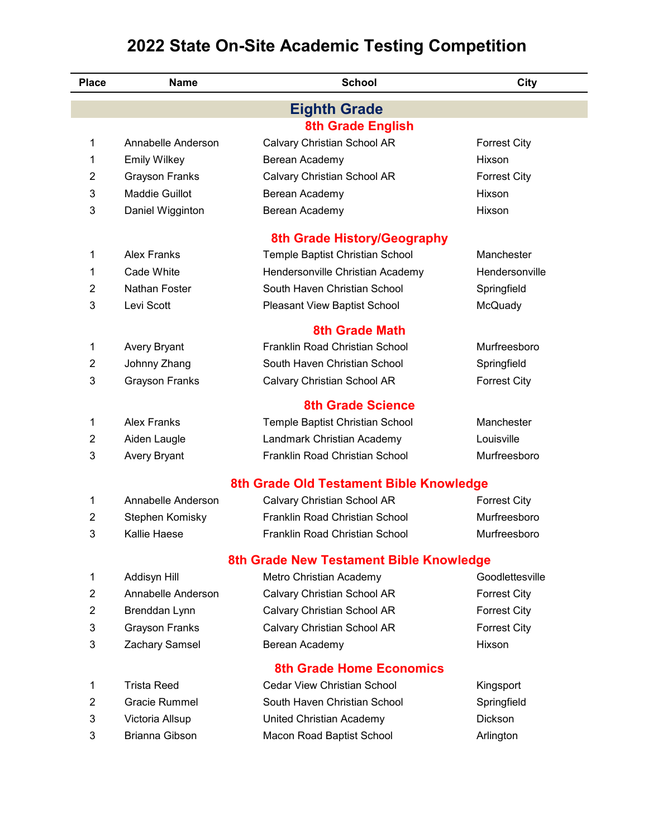| <b>Place</b>   | <b>Name</b>           | <b>School</b>                           | City                |
|----------------|-----------------------|-----------------------------------------|---------------------|
|                |                       | <b>Eighth Grade</b>                     |                     |
|                |                       | <b>8th Grade English</b>                |                     |
| 1              | Annabelle Anderson    | Calvary Christian School AR             | <b>Forrest City</b> |
| 1              | <b>Emily Wilkey</b>   | Berean Academy                          | Hixson              |
| 2              | <b>Grayson Franks</b> | Calvary Christian School AR             | <b>Forrest City</b> |
| 3              | Maddie Guillot        | Berean Academy                          | Hixson              |
| 3              | Daniel Wigginton      | Berean Academy                          | Hixson              |
|                |                       | 8th Grade History/Geography             |                     |
| 1              | Alex Franks           | Temple Baptist Christian School         | Manchester          |
| 1              | Cade White            | Hendersonville Christian Academy        | Hendersonville      |
| $\overline{2}$ | Nathan Foster         | South Haven Christian School            | Springfield         |
| 3              | Levi Scott            | Pleasant View Baptist School            | McQuady             |
|                |                       | <b>8th Grade Math</b>                   |                     |
| 1              | Avery Bryant          | Franklin Road Christian School          | Murfreesboro        |
| 2              | Johnny Zhang          | South Haven Christian School            | Springfield         |
| 3              | <b>Grayson Franks</b> | Calvary Christian School AR             | <b>Forrest City</b> |
|                |                       | <b>8th Grade Science</b>                |                     |
| 1              | <b>Alex Franks</b>    | Temple Baptist Christian School         | Manchester          |
| 2              | Aiden Laugle          | Landmark Christian Academy              | Louisville          |
| 3              | <b>Avery Bryant</b>   | Franklin Road Christian School          | Murfreesboro        |
|                |                       | 8th Grade Old Testament Bible Knowledge |                     |
| 1              | Annabelle Anderson    | Calvary Christian School AR             | <b>Forrest City</b> |
| 2              | Stephen Komisky       | Franklin Road Christian School          | Murfreesboro        |
| 3              | Kallie Haese          | Franklin Road Christian School          | Murfreesboro        |
|                |                       | 8th Grade New Testament Bible Knowledge |                     |
| 1              | Addisyn Hill          | Metro Christian Academy                 | Goodlettesville     |
| $\overline{2}$ | Annabelle Anderson    | Calvary Christian School AR             | <b>Forrest City</b> |
| $\overline{2}$ | Brenddan Lynn         | Calvary Christian School AR             | <b>Forrest City</b> |
| 3              | <b>Grayson Franks</b> | Calvary Christian School AR             | <b>Forrest City</b> |
| 3              | Zachary Samsel        | Berean Academy                          | Hixson              |
|                |                       | <b>8th Grade Home Economics</b>         |                     |
| 1              | <b>Trista Reed</b>    | <b>Cedar View Christian School</b>      | Kingsport           |
| $\overline{2}$ | Gracie Rummel         | South Haven Christian School            | Springfield         |
| 3              | Victoria Allsup       | United Christian Academy                | Dickson             |
| 3              | Brianna Gibson        | Macon Road Baptist School               | Arlington           |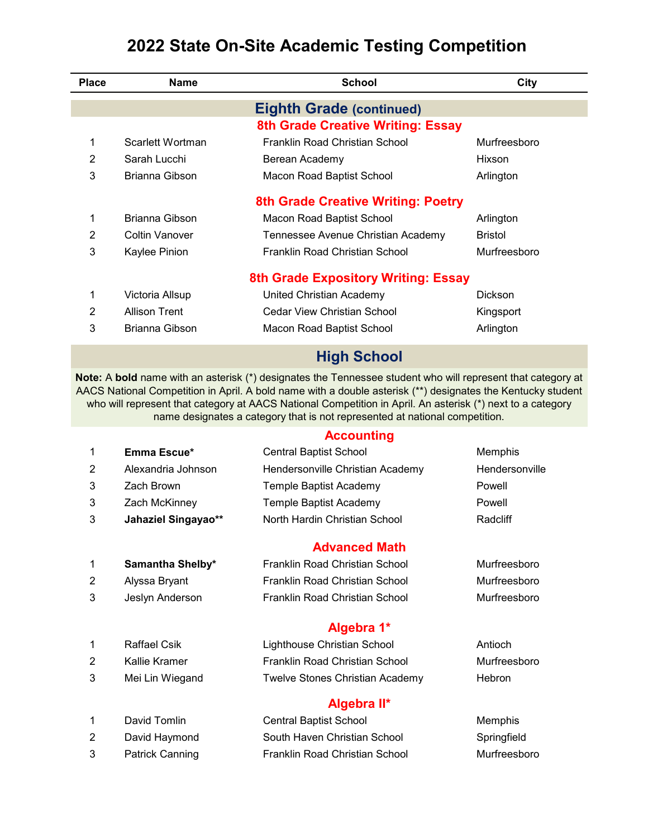| <b>Place</b>   | <b>Name</b>                | <b>School</b>                                                                                                                                                                                                                                                                                                                                                                                                           | City           |
|----------------|----------------------------|-------------------------------------------------------------------------------------------------------------------------------------------------------------------------------------------------------------------------------------------------------------------------------------------------------------------------------------------------------------------------------------------------------------------------|----------------|
|                |                            | <b>Eighth Grade (continued)</b>                                                                                                                                                                                                                                                                                                                                                                                         |                |
|                |                            | 8th Grade Creative Writing: Essay                                                                                                                                                                                                                                                                                                                                                                                       |                |
| 1              | Scarlett Wortman           | Franklin Road Christian School                                                                                                                                                                                                                                                                                                                                                                                          | Murfreesboro   |
| 2              | Sarah Lucchi               | Berean Academy                                                                                                                                                                                                                                                                                                                                                                                                          | Hixson         |
| 3              | Brianna Gibson             | Macon Road Baptist School                                                                                                                                                                                                                                                                                                                                                                                               | Arlington      |
|                |                            | <b>8th Grade Creative Writing: Poetry</b>                                                                                                                                                                                                                                                                                                                                                                               |                |
| 1              | Brianna Gibson             | Macon Road Baptist School                                                                                                                                                                                                                                                                                                                                                                                               | Arlington      |
| 2              | <b>Coltin Vanover</b>      | Tennessee Avenue Christian Academy                                                                                                                                                                                                                                                                                                                                                                                      | <b>Bristol</b> |
| 3              | Kaylee Pinion              | Franklin Road Christian School                                                                                                                                                                                                                                                                                                                                                                                          | Murfreesboro   |
|                |                            | <b>8th Grade Expository Writing: Essay</b>                                                                                                                                                                                                                                                                                                                                                                              |                |
| 1              | Victoria Allsup            | United Christian Academy                                                                                                                                                                                                                                                                                                                                                                                                | Dickson        |
| 2              | <b>Allison Trent</b>       | Cedar View Christian School                                                                                                                                                                                                                                                                                                                                                                                             | Kingsport      |
| 3              | Brianna Gibson             | Macon Road Baptist School                                                                                                                                                                                                                                                                                                                                                                                               | Arlington      |
|                |                            | <b>High School</b>                                                                                                                                                                                                                                                                                                                                                                                                      |                |
|                |                            | Note: A bold name with an asterisk (*) designates the Tennessee student who will represent that category at<br>AACS National Competition in April. A bold name with a double asterisk (**) designates the Kentucky student<br>who will represent that category at AACS National Competition in April. An asterisk (*) next to a category<br>name designates a category that is not represented at national competition. |                |
|                |                            | <b>Accounting</b>                                                                                                                                                                                                                                                                                                                                                                                                       |                |
| 1              | Emma Escue*                | <b>Central Baptist School</b>                                                                                                                                                                                                                                                                                                                                                                                           | Memphis        |
| 2              | Alexandria Johnson         | Hendersonville Christian Academy                                                                                                                                                                                                                                                                                                                                                                                        | Hendersonville |
| 3              | Zach Brown                 | Temple Baptist Academy                                                                                                                                                                                                                                                                                                                                                                                                  | Powell         |
| 3              | Zach McKinney              | <b>Temple Baptist Academy</b>                                                                                                                                                                                                                                                                                                                                                                                           | Powell         |
| 3              | <b>Jahaziel Singayao**</b> | North Hardin Christian School                                                                                                                                                                                                                                                                                                                                                                                           | Radcliff       |
|                |                            | <b>Advanced Math</b>                                                                                                                                                                                                                                                                                                                                                                                                    |                |
| 1              | Samantha Shelby*           | Franklin Road Christian School                                                                                                                                                                                                                                                                                                                                                                                          | Murfreesboro   |
| $\overline{2}$ | Alyssa Bryant              | Franklin Road Christian School                                                                                                                                                                                                                                                                                                                                                                                          | Murfreesboro   |
| 3              | Jeslyn Anderson            | Franklin Road Christian School                                                                                                                                                                                                                                                                                                                                                                                          | Murfreesboro   |
|                |                            | Algebra 1*                                                                                                                                                                                                                                                                                                                                                                                                              |                |
| 1              | <b>Raffael Csik</b>        | Lighthouse Christian School                                                                                                                                                                                                                                                                                                                                                                                             | Antioch        |
| $\overline{2}$ | Kallie Kramer              | Franklin Road Christian School                                                                                                                                                                                                                                                                                                                                                                                          | Murfreesboro   |
| 3              | Mei Lin Wiegand            | Twelve Stones Christian Academy                                                                                                                                                                                                                                                                                                                                                                                         | Hebron         |

#### **Algebra II\***

| David Tomlin           | <b>Central Baptist School</b>  | Memphis      |
|------------------------|--------------------------------|--------------|
| David Haymond          | South Haven Christian School   | Springfield  |
| <b>Patrick Canning</b> | Franklin Road Christian School | Murfreesboro |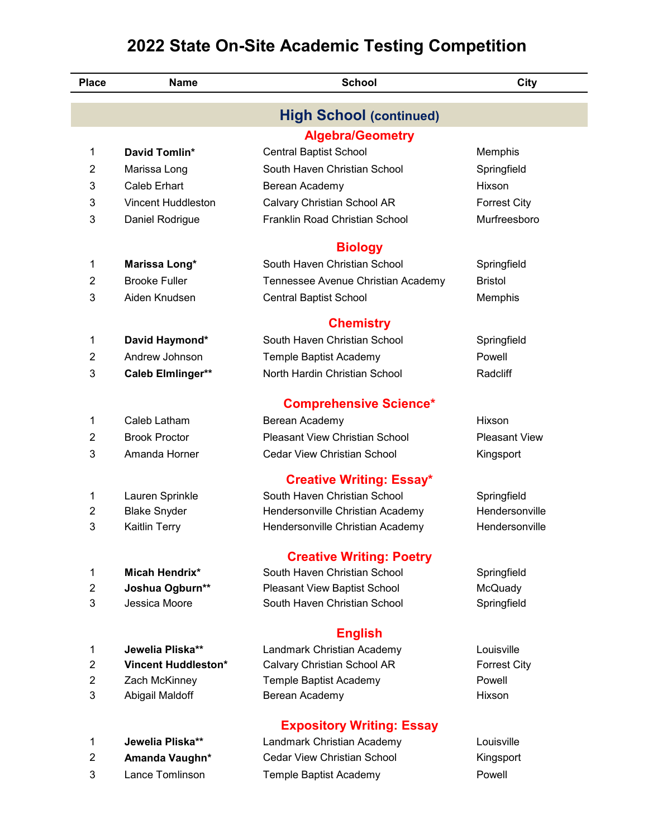| <b>Place</b>   | <b>Name</b>                | <b>School</b>                         | City                 |
|----------------|----------------------------|---------------------------------------|----------------------|
|                |                            | <b>High School (continued)</b>        |                      |
|                |                            | <b>Algebra/Geometry</b>               |                      |
| 1              | David Tomlin*              | Central Baptist School                | Memphis              |
| $\overline{2}$ | Marissa Long               | South Haven Christian School          | Springfield          |
| 3              | Caleb Erhart               | Berean Academy                        | Hixson               |
| 3              | Vincent Huddleston         | Calvary Christian School AR           | <b>Forrest City</b>  |
| 3              | Daniel Rodrigue            | Franklin Road Christian School        | Murfreesboro         |
|                |                            | <b>Biology</b>                        |                      |
| 1              | Marissa Long*              | South Haven Christian School          | Springfield          |
| $\overline{2}$ | <b>Brooke Fuller</b>       | Tennessee Avenue Christian Academy    | <b>Bristol</b>       |
| 3              | Aiden Knudsen              | <b>Central Baptist School</b>         | Memphis              |
|                |                            | <b>Chemistry</b>                      |                      |
| 1              | David Haymond*             | South Haven Christian School          | Springfield          |
| $\overline{2}$ | Andrew Johnson             | Temple Baptist Academy                | Powell               |
| 3              | Caleb Elmlinger**          | North Hardin Christian School         | Radcliff             |
|                |                            | <b>Comprehensive Science*</b>         |                      |
| 1              | Caleb Latham               | Berean Academy                        | Hixson               |
| 2              | <b>Brook Proctor</b>       | <b>Pleasant View Christian School</b> | <b>Pleasant View</b> |
| 3              | Amanda Horner              | <b>Cedar View Christian School</b>    | Kingsport            |
|                |                            | <b>Creative Writing: Essay*</b>       |                      |
| 1              | Lauren Sprinkle            | South Haven Christian School          | Springfield          |
| 2              | <b>Blake Snyder</b>        | Hendersonville Christian Academy      | Hendersonville       |
| 3              | <b>Kaitlin Terry</b>       | Hendersonville Christian Academy      | Hendersonville       |
|                |                            | <b>Creative Writing: Poetry</b>       |                      |
| 1              | <b>Micah Hendrix*</b>      | South Haven Christian School          | Springfield          |
| $\overline{2}$ | Joshua Ogburn**            | <b>Pleasant View Baptist School</b>   | McQuady              |
| 3              | Jessica Moore              | South Haven Christian School          | Springfield          |
|                |                            | <b>English</b>                        |                      |
| 1              | Jewelia Pliska**           | Landmark Christian Academy            | Louisville           |
| 2              | <b>Vincent Huddleston*</b> | Calvary Christian School AR           | <b>Forrest City</b>  |
| $\overline{2}$ | Zach McKinney              | Temple Baptist Academy                | Powell               |
| 3              | Abigail Maldoff            | Berean Academy                        | Hixson               |
|                |                            | <b>Expository Writing: Essay</b>      |                      |
| 1              | Jewelia Pliska**           | Landmark Christian Academy            | Louisville           |
| $\overline{2}$ | Amanda Vaughn*             | <b>Cedar View Christian School</b>    | Kingsport            |

Lance Tomlinson Temple Baptist Academy Powell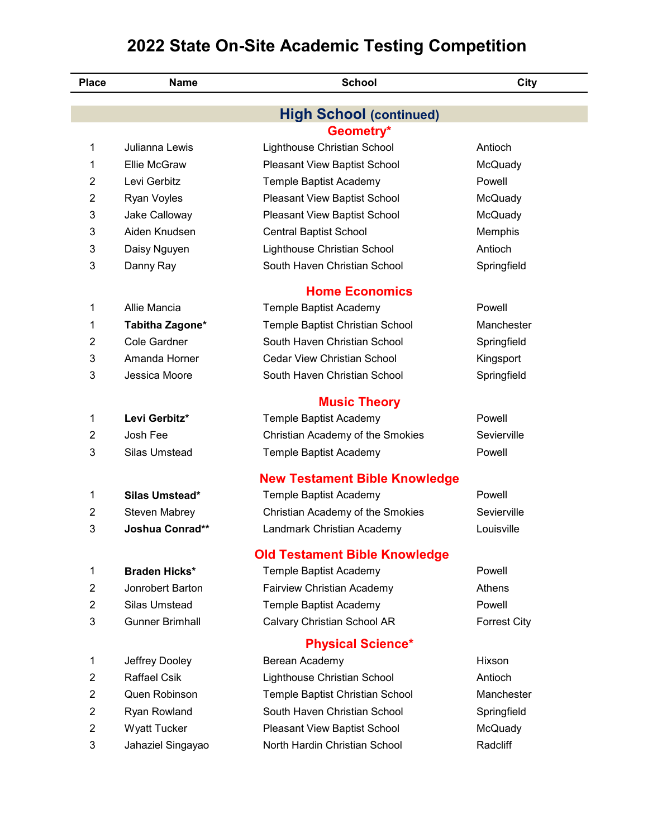| <b>Place</b>              | <b>Name</b>            | <b>School</b>                        | City                |
|---------------------------|------------------------|--------------------------------------|---------------------|
|                           |                        | <b>High School (continued)</b>       |                     |
|                           |                        | Geometry*                            |                     |
| 1                         | Julianna Lewis         | Lighthouse Christian School          | Antioch             |
| 1                         | Ellie McGraw           | Pleasant View Baptist School         | McQuady             |
| $\overline{2}$            | Levi Gerbitz           | Temple Baptist Academy               | Powell              |
| $\overline{2}$            | Ryan Voyles            | Pleasant View Baptist School         | McQuady             |
| 3                         | Jake Calloway          | Pleasant View Baptist School         | McQuady             |
| 3                         | Aiden Knudsen          | <b>Central Baptist School</b>        | Memphis             |
| 3                         | Daisy Nguyen           | Lighthouse Christian School          | Antioch             |
| 3                         | Danny Ray              | South Haven Christian School         | Springfield         |
|                           |                        | <b>Home Economics</b>                |                     |
| 1                         | Allie Mancia           | Temple Baptist Academy               | Powell              |
| 1                         | Tabitha Zagone*        | Temple Baptist Christian School      | Manchester          |
| $\overline{2}$            | <b>Cole Gardner</b>    | South Haven Christian School         | Springfield         |
| 3                         | Amanda Horner          | <b>Cedar View Christian School</b>   | Kingsport           |
| 3                         | Jessica Moore          | South Haven Christian School         | Springfield         |
|                           |                        | <b>Music Theory</b>                  |                     |
| 1                         | Levi Gerbitz*          | Temple Baptist Academy               | Powell              |
| 2                         | Josh Fee               | Christian Academy of the Smokies     | Sevierville         |
| 3                         | Silas Umstead          | Temple Baptist Academy               | Powell              |
|                           |                        | <b>New Testament Bible Knowledge</b> |                     |
| 1                         | Silas Umstead*         | Temple Baptist Academy               | Powell              |
| 2                         | <b>Steven Mabrey</b>   | Christian Academy of the Smokies     | Sevierville         |
| 3                         | <b>Joshua Conrad**</b> | Landmark Christian Academy           | Louisville          |
|                           |                        | <b>Old Testament Bible Knowledge</b> |                     |
| 1                         | Braden Hicks*          | Temple Baptist Academy               | Powell              |
| $\overline{2}$            | Jonrobert Barton       | Fairview Christian Academy           | Athens              |
| $\overline{2}$            | Silas Umstead          | Temple Baptist Academy               | Powell              |
| 3                         | <b>Gunner Brimhall</b> | Calvary Christian School AR          | <b>Forrest City</b> |
|                           |                        | <b>Physical Science*</b>             |                     |
| 1                         | Jeffrey Dooley         | Berean Academy                       | Hixson              |
| $\overline{2}$            | <b>Raffael Csik</b>    | Lighthouse Christian School          | Antioch             |
| $\overline{2}$            | Quen Robinson          | Temple Baptist Christian School      | Manchester          |
| $\overline{2}$            | Ryan Rowland           | South Haven Christian School         | Springfield         |
| $\overline{2}$            | <b>Wyatt Tucker</b>    | Pleasant View Baptist School         | McQuady             |
| $\ensuremath{\mathsf{3}}$ | Jahaziel Singayao      | North Hardin Christian School        | Radcliff            |